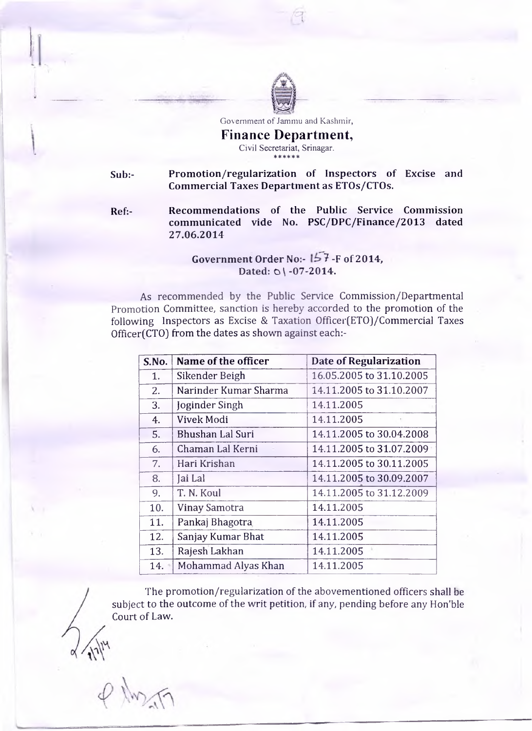

Government of Jammu and Kashmir,

**Finance Department,** Civil Secretariat, Srinagar. \*\*\*\*\*\*

Sub:- Promotion/regularization of Inspectors of Excise and Commercial Taxes Department as ETOs/CTOs.

I

-.

Ref.- Recommendations of the Public Service Commission communicated vide No. PSC/DPC/Finance/2013 dated 27.06.2014

## Government Order No:-  $157 - F$  of 2014, Dated:  $0 \ (-07 - 2014$ .

As recommended by the Public Service Commission/Departmental Promotion Committee, sanction is hereby accorded to the promotion of the following Inspectors as Excise & Taxation Officer(ETO)/Commercial Taxes Officer(CTO) from the dates as shown against each:-

| S.No. | Name of the officer   | Date of Regularization   |
|-------|-----------------------|--------------------------|
| 1.    | Sikender Beigh        | 16.05.2005 to 31.10.2005 |
| 2.    | Narinder Kumar Sharma | 14.11.2005 to 31.10.2007 |
| 3.    | Joginder Singh        | 14.11.2005               |
| 4.    | Vivek Modi            | 14.11.2005               |
| 5.    | Bhushan Lal Suri      | 14.11.2005 to 30.04.2008 |
| 6.    | Chaman Lal Kerni      | 14.11.2005 to 31.07.2009 |
| 7.    | Hari Krishan          | 14.11.2005 to 30.11.2005 |
| 8.    | Jai Lal               | 14.11.2005 to 30.09.2007 |
| 9.    | T. N. Koul            | 14.11.2005 to 31.12.2009 |
| 10.   | <b>Vinay Samotra</b>  | 14.11.2005               |
| 11.   | Pankaj Bhagotra       | 14.11.2005               |
| 12.   | Sanjay Kumar Bhat     | 14.11.2005               |
| 13.   | Rajesh Lakhan         | 14.11.2005               |
| 14.   | Mohammad Alyas Khan   | 14.11.2005               |

The promotion/regularization of the abovementioned officers shall be subject to the outcome of the writ petition, if any, pending before any Hon'ble Court of Law.